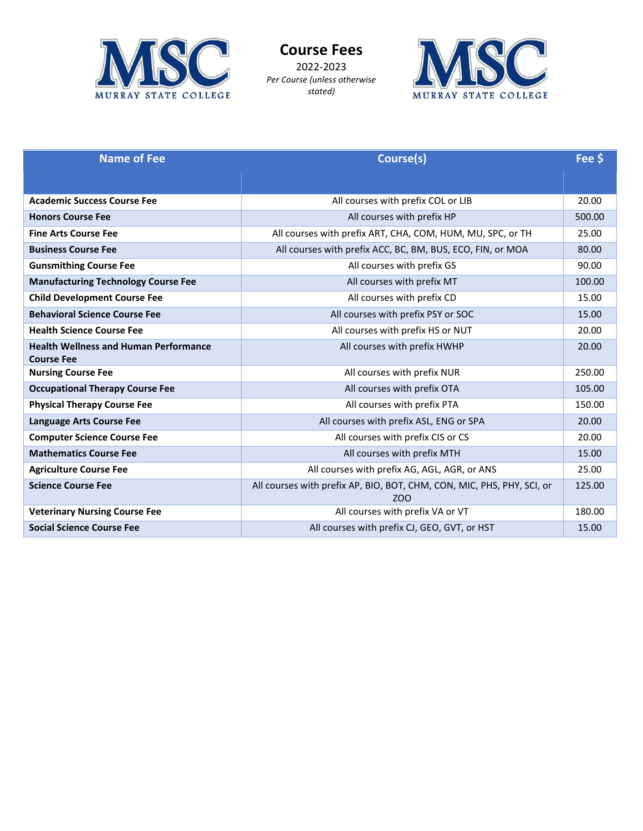

**Course Fees**  2022-2023 *Per Course (unless otherwise stated)* 



| <b>Name of Fee</b>                                                | Course(s)                                                                                 | Fee \$ |
|-------------------------------------------------------------------|-------------------------------------------------------------------------------------------|--------|
|                                                                   |                                                                                           |        |
| <b>Academic Success Course Fee</b>                                | All courses with prefix COL or LIB                                                        | 20.00  |
| <b>Honors Course Fee</b>                                          | All courses with prefix HP                                                                | 500.00 |
| <b>Fine Arts Course Fee</b>                                       | All courses with prefix ART, CHA, COM, HUM, MU, SPC, or TH                                | 25.00  |
| <b>Business Course Fee</b>                                        | All courses with prefix ACC, BC, BM, BUS, ECO, FIN, or MOA                                | 80.00  |
| <b>Gunsmithing Course Fee</b>                                     | All courses with prefix GS                                                                | 90.00  |
| <b>Manufacturing Technology Course Fee</b>                        | All courses with prefix MT                                                                | 100.00 |
| <b>Child Development Course Fee</b>                               | All courses with prefix CD                                                                | 15.00  |
| <b>Behavioral Science Course Fee</b>                              | All courses with prefix PSY or SOC                                                        | 15.00  |
| <b>Health Science Course Fee</b>                                  | All courses with prefix HS or NUT                                                         | 20.00  |
| <b>Health Wellness and Human Performance</b><br><b>Course Fee</b> | All courses with prefix HWHP                                                              | 20.00  |
| <b>Nursing Course Fee</b>                                         | All courses with prefix NUR                                                               | 250.00 |
| <b>Occupational Therapy Course Fee</b>                            | All courses with prefix OTA                                                               | 105.00 |
| <b>Physical Therapy Course Fee</b>                                | All courses with prefix PTA                                                               | 150.00 |
| <b>Language Arts Course Fee</b>                                   | All courses with prefix ASL, ENG or SPA                                                   | 20.00  |
| <b>Computer Science Course Fee</b>                                | All courses with prefix CIS or CS                                                         | 20.00  |
| <b>Mathematics Course Fee</b>                                     | All courses with prefix MTH                                                               | 15.00  |
| <b>Agriculture Course Fee</b>                                     | All courses with prefix AG, AGL, AGR, or ANS                                              | 25.00  |
| <b>Science Course Fee</b>                                         | All courses with prefix AP, BIO, BOT, CHM, CON, MIC, PHS, PHY, SCI, or<br>ZO <sub>O</sub> | 125.00 |
| <b>Veterinary Nursing Course Fee</b>                              | All courses with prefix VA or VT                                                          | 180.00 |
| <b>Social Science Course Fee</b>                                  | All courses with prefix CJ, GEO, GVT, or HST                                              | 15.00  |